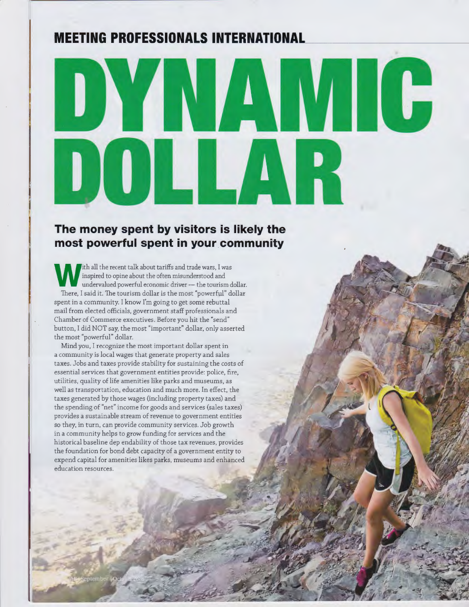## **MEETING PROFESSIONALS INTERNATIONAL**

# WI G **IN TA**  $\overline{\phantom{a}}$  $\bigcup \bigcup \bigcup \bigcup \bigcup \{ \bigcap$

## **The money spent by visitors is likely the most powerful spent in your community**

Ith all the recent talk about tariffs and trade wars, I was<br>
inspired to opine about the often misunderstood and<br>
undervalued powerful economic driver — the tourism dollar.<br>
There I said it. The tourism dollar is the most inspired to opine about the often misunderstood and There, I said it. The tourism dollar is the most "powerful" dollar spent in a community. I know I'm going to get some rebuttal mail from elected officials, government staff professionals and Chamber of Commerce executives. Before you hit the "send" button, I did NOT say, the most "important" dollar, only asserted the most "powerful" dollar.

Mind you, I recognize the most important dollar spent in a community is local wages that generate property and sales taxes. Jobs and taxes provide stability for sustaining the costs of essential services that government entities provide: police, fire, utilities, quality of life amenities like parks and museums, as well as transportation, education and much more. In effect, the taxes generated by those wages (including property taxes) and the spending of "net" income for goods and services (sales taxes) provides a sustainable stream of revenue to government entities so they, in turn, can provide community services. Job growth in a community helps to grow funding for services and the historical baseline dep endability of those tax revenues, provides the foundation for bond debt capacity of a government entity to expend capital for amenities likes parks, museums and enhanced education resources.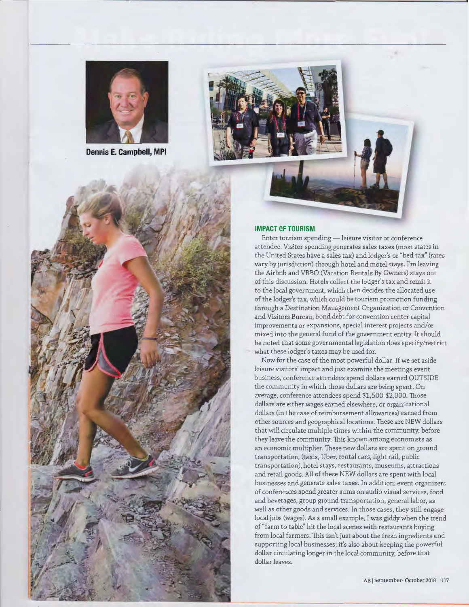

**Dennis E. Campbell, MPI** 



#### **IMPACT OF TOURISM**

Enter tourism spending - leisure visitor or conference attendee. Visitor spending generates sales taxes (most states in the United States have a sales tax) and lodger's or "bed tax" (rates vary by jurisdiction) through hotel and motel stays. I'm leaving the Airbnb and VRBO (Vacation Rentals By Owners) stays out of this discussion. Hotels collect the lodger's tax and remit it to the local government, which then decides the allocated use of the lodger's tax, which could be tourism promotion funding through a Destination Management Organization or Convention and Visitors Bureau, bond debt for convention center capital improvements or expansions, special interest projects and/or mixed into the general fund of the government entity. It should be noted that some governmental legislation does specify/restrict what these lodger's taxes may be used for.

Now for the case of the most powerful dollar. If we set aside leisure visitors' impact and just examine the meetings event business, conference attendees spend dollars earned OUTSIDE the community in which those dollars are being spent. On average, conference attendees spend \$1,500-\$2,000. Those dollars are either wages earned elsewhere, or organizational dollars (in the case of reimbursement allowances) earned from other sources and geographical locations. These are NEW dollars that will circulate multiple times within the community, before they leave the community. This known among economists as an economic multiplier. These new dollars are spent on ground transportation, (taxis, Uber, rental cars, light rail, public transportation), hotel stays, restaurants, museums, attractions and retail goods. All of these NEW dollars are spent with local businesses and generate sales taxes. In addition, event organizers of conferences spend greater sums on audio visual services, food and beverages, group ground transportation, general labor, as well as other goods and services. In those cases, they still engage local jobs (wages). As a small example, I was giddy when the trend of "farm to table" hit the local scenes with restaurants buying from local farmers. This isn't just about the fresh ingredients and supporting local businesses; it's also about keeping the powerful dollar circulating longer in the local community, before that dollar leaves.